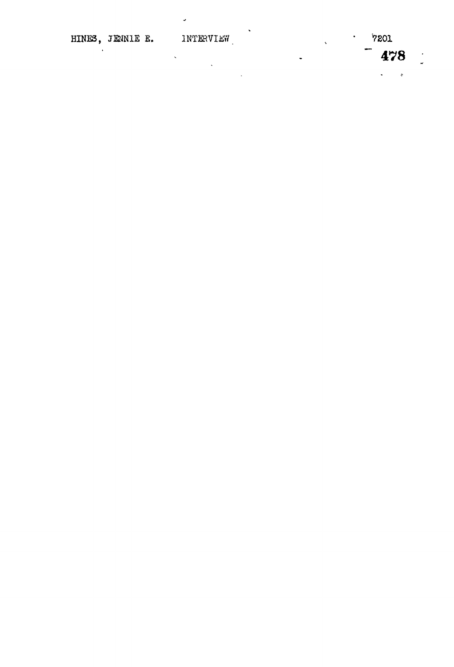$\mathbf{r}$ 

 $\sim 10^{-11}$ 

 $\ddot{\phantom{a}}$ 

i.

J.

 $\ddot{\phantom{0}}$ 

 $7201$  $\ddot{\phantom{a}}$ 

 $\hat{\mathbf{v}}$ 

 $\mathcal{L}_{\mathbf{X}}$ 

 $\ddot{\phantom{0}}$ 

478

 $\ddot{\phi}$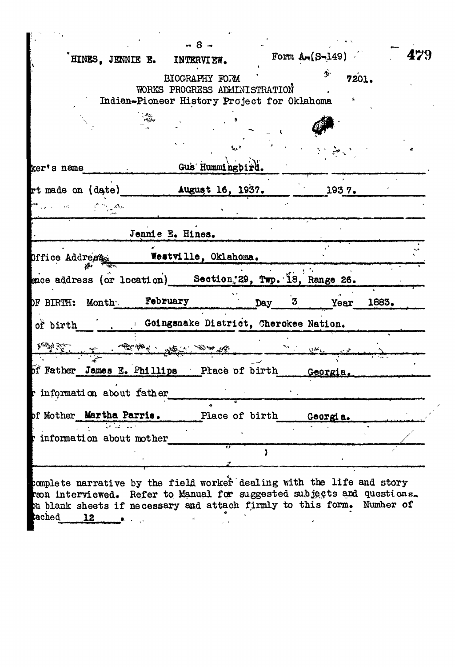|                                                                                                                                                                                                                                                |                 |      |          | HINES, JENNIE E. INTERVIEW.                                                                    |                           |                | Form $Ar(S-149)$                      |            | 479 |
|------------------------------------------------------------------------------------------------------------------------------------------------------------------------------------------------------------------------------------------------|-----------------|------|----------|------------------------------------------------------------------------------------------------|---------------------------|----------------|---------------------------------------|------------|-----|
|                                                                                                                                                                                                                                                |                 |      |          | BIOGRAPHY FORM<br>WORKS PROGRESS ADMINISTRATION<br>Indian-Pioneer History Project for Oklahoma |                           |                | Ą.                                    | 7201.      |     |
|                                                                                                                                                                                                                                                |                 |      |          |                                                                                                |                           |                |                                       |            |     |
| ker's name                                                                                                                                                                                                                                     |                 |      |          | Gus Hummingbird.                                                                               | $\mathbf{h}^{\mathbf{x}}$ |                |                                       |            |     |
| rt made on (date) Mugust 16, 1937.                                                                                                                                                                                                             |                 |      |          |                                                                                                |                           |                | 1937.                                 |            |     |
|                                                                                                                                                                                                                                                | ్లో స్క్లాటింగ్ |      |          |                                                                                                |                           |                |                                       |            |     |
|                                                                                                                                                                                                                                                |                 |      |          | Jennie E. Hines.                                                                               |                           |                |                                       |            |     |
|                                                                                                                                                                                                                                                |                 |      |          |                                                                                                |                           |                |                                       |            |     |
|                                                                                                                                                                                                                                                |                 | स्टर |          | Westville, Oklahoma.                                                                           |                           |                |                                       |            |     |
|                                                                                                                                                                                                                                                |                 |      |          |                                                                                                |                           |                |                                       |            |     |
|                                                                                                                                                                                                                                                |                 |      | February |                                                                                                |                           | Day            | $3^{\circ}$                           | Year 1883. |     |
| of birth                                                                                                                                                                                                                                       |                 |      |          |                                                                                                |                           |                | Coingsnake District, Cherokee Nation. |            |     |
|                                                                                                                                                                                                                                                |                 |      |          |                                                                                                |                           |                |                                       |            |     |
|                                                                                                                                                                                                                                                |                 |      |          |                                                                                                |                           |                |                                       |            |     |
|                                                                                                                                                                                                                                                |                 |      |          |                                                                                                |                           |                |                                       |            |     |
| Office Address<br>ence address (or location) Section, 29, Twp. 18, Range 26.<br>OF BIRTH: Month<br>A ROLL A CARRY START AND A<br>of Father James E. Phillips Place of birth Georgia.<br>r information about father<br>of Mother Martha Parris. |                 |      |          |                                                                                                |                           | Place of birth | Georgia.                              |            |     |
| information about mother                                                                                                                                                                                                                       |                 |      |          |                                                                                                | 75                        |                |                                       |            |     |

complete narrative by the field worker dealing with the life and story from interviewed. Refer to Manual for suggested subjects and questions. on blank sheets if necessary and attach firmly to this form. Number of **インターの**<br>- インターのサービス<br>- インターのサービス ached  $12$  $\bar{a}$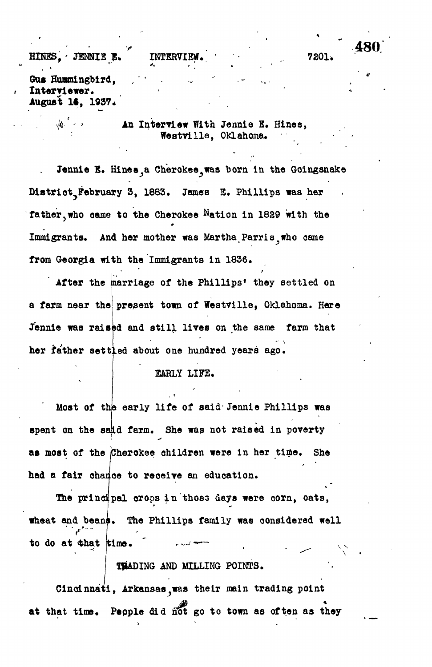## **r 480** HINES, JENNIE E. INTERVIEW. **7201.**

Gus Hummingbird, Interviewer. **August 14, 1937\***

> An Interview With Jennie E. Hines, **Westville, Oklahoma. •**

Jennie E. Hines a Cherokee was born in the Goingsnake **Dl8trlot?February 3, 1883. James E. Phillips was her** father, who came to the Cherokee Nation in 1829 with the Immigrants. And her mother was Martha Parris who came **from Georgia with the Immigrants in 1836.**

After the marriage of the Phillips' they settled on a farm near the present town of Westville, Oklahoma. Here Jennie was raised and still lives on the same farm that **her father settled about one hundred years ago.**

### **EARLY LIFE.**

Most of the early life of said Jennie Phillips was **spent on the said farm. She was not raised in poverty as most of the (Cherokee children were in her time, she had a fair chance to receive an education.**

**The principal crops in thoss days were corn, oats, wheat and beans. The Phillips family was considered well** to do at that time.

## **TRADING AND MILLING POINTS.**

**Cincinnati, Arkansas^was their main trading point at that time. Pepple did not go to town as often as they**

**\**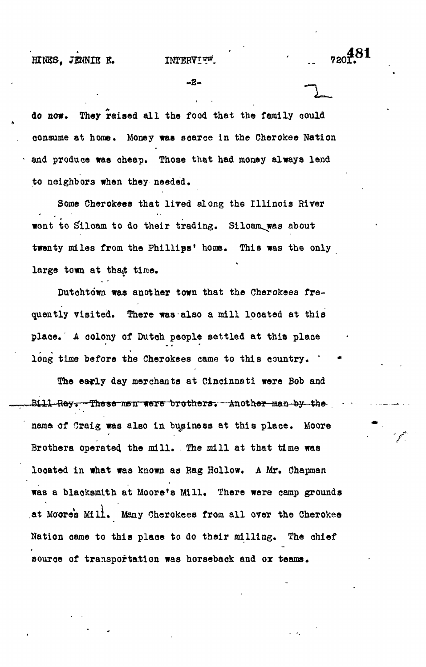### **HINES, JENNIE E. INTERVIEW,**

**-2-**

**do now. They raised all the food that the family oould consume at home. Money was soarce in the Cherokee Nation • and produce was cheap. Those that had money always lend to neighbors when they needed.**

**Some Cherokeea that lived along the Illinois River went to Sftloam to do their trading. Siloam^was about twenty miles from the Phillips<sup>1</sup> home. This was the only** large town at that time.

Dutchtown was another town that the Cherokees fre**quently visited. There was also a mill located at this place. A colony of Dutoh people settled at this place** long time before the Cherokees came to this country. '

**The early day merchants at Cincinnati were Bob and** Bill Ray. These men were brothers. Another man by the name of Craig was also in business at this place. Moore **Brothers operated, the mill. The mill at that time was looated in what was known as Bag Hollow. A Mr. Chapman was a blacksmith at Moore's Mill. There were camp grounds ,at Moores Mill. Many Cherokees from all over the Cherokee Nation came to this place to do their milling. The chief source of transportation was horseback and ox teams.**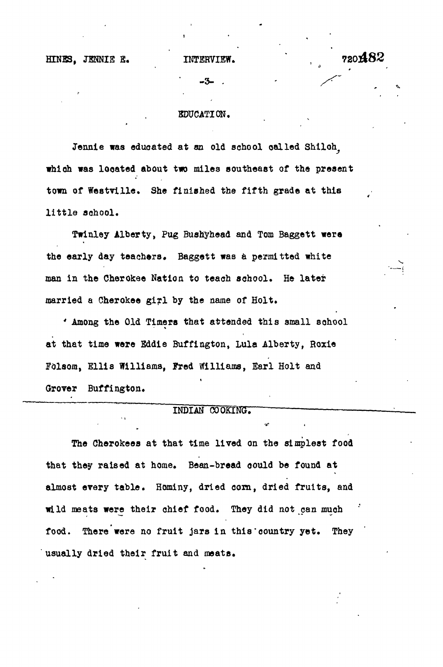# HINES. JENNIE E. INTERVIEW.  $720482$

**-3- . -** */S~*

### EDUCATION.

Jennie was educated at an old school called Shiloh. which was located about two miles southeast of the present town of Westville. She finished the fifth grade at this little school.

Twinley Alberty, Pug Bushyhead and Tom Baggett were the early day teachers. Baggett was a permitted white man in the Cherokee Nation to teach school. He later married a Cherokee girl by the name of Holt.

' Among the Old Timers that attended this small school at that time were Eddie Buffington, Lula Alberty, Roxie Folaom, Sllia Williams, Fred Williams, Earl Holt and Grover Buffington.

### INDIAN COOKING.

**The Cherokees at that time lived on the simplest food that they raised at home. Bean-bread could be found at almost every table. Hominy, dried corn, dried fruits, and wild meats were their chief food. They did not can muoh food. There were no fruit jars in this'country yet. They usually dried their fruit and meats.**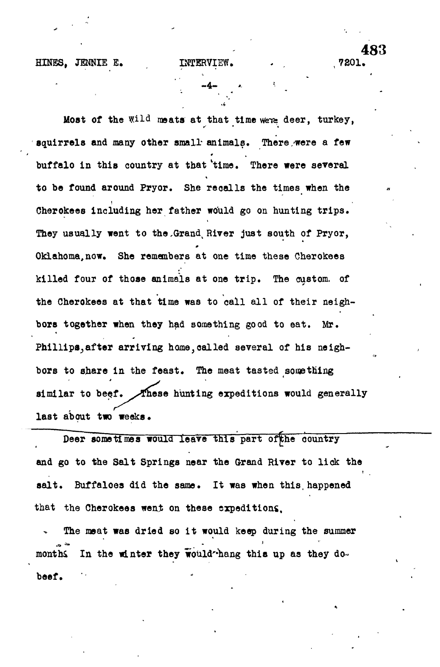HINES. JENNIE E.

INTERVIEW.

7201

Most of the Wild meats at that time were deer, turkey, squirrels and many other small animals. There were a few buffalo in this country at that 'time. There were several to be found around Pryor. She recalls the times when the Cherckees including her father would go on hunting trips. They usually went to the Grand River just south of Pryor, Oklahoma, now. She remembers at one time these Cherokees killed four of those animals at one trip. The custom. of the Cherokees at that time was to call all of their neighbors together when they had something good to eat. Mr. Phillips, after arriving home, called several of his neighbors to share in the feast. The meat tasted something similar to beef. These hunting expeditions would generally last about two weeks.

Deer sometimes would leave this part of the country and go to the Salt Springs near the Grand River to lick the salt. Buffaloes did the same. It was when this happened that the Cherokees went on these expeditions.

The meat was dried so it would keep during the summer In the winter they would-hang this up as they domonths beef.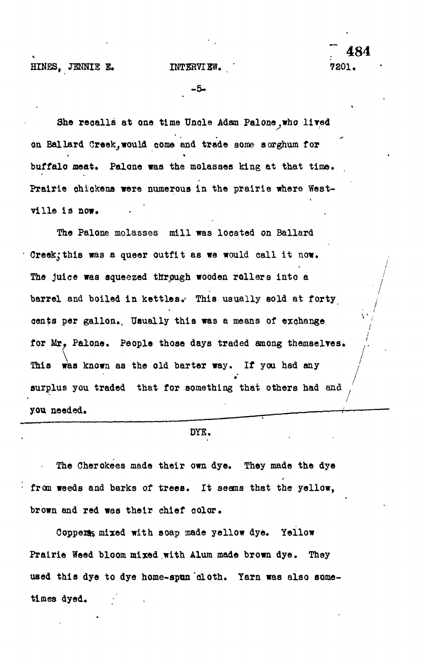**/**

**-5-**

She recalls at one time Uncle Adam Palone, who lived on Ballard Creek,would come and trade some sorghum for buffalo meat. Palone was the molasses king at that time. Prairie chickens were numerous in the prairie where West-**Prairie chickens were numerous in the prairie where West-**

The Palone molasses mill was located on Ballard Creek; this was a queer outfit as we would call it now. The juice was squeezed through wooden rollers into a barrel and boiled in kettles. This usually sold at forty dents per gallon. Usually this was a means of exchange for Mr, Palone. People those days traded among themselves. This was known as the old barter way. If you had any  $T$  is was known as the old barter way. If  $\mathcal{L}$  you had any  $\mathcal{L}$ **surplus you traded that for something that others had and** you needed.

#### **DYE,**

The Cherokees made their own dye. They made the dye from weeds and barks of trees. It seems that the yellow, brown and red was their chief color.

Copperts mixed with soap made yellow dye. Yellow Prairie Weed bloom mixed with Alum made brown dye. They used this dye to dye home-spun cloth. Yarn was also sometimes dyed.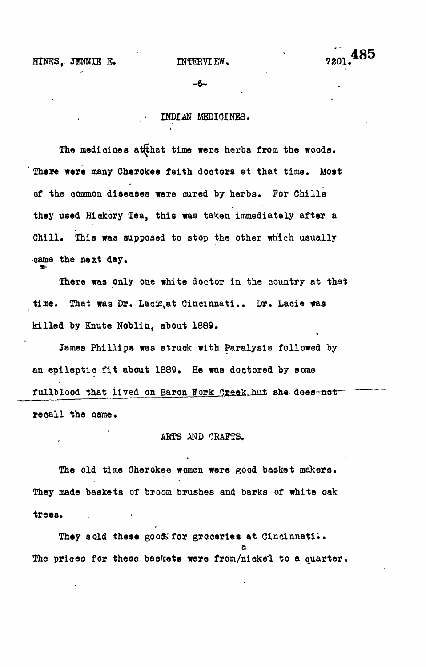485

**-6-**

### **• INDIAN MEDICINES.**

**The medicines atfthat time were herbs from the woods. There were many Cherokee faith doctors at that time. Most of the common diseases were cured by herbs. For Chills they used Hickory Tea, this was taken immediately after a Chill. This was supposed to stop the other which usually came the next day.**

**There was only one white doctor in the oountry at that time. That was Dr. Lacle,at Cincinnati.. Dr. Lacie was killed by Knute Noblin, about 1889.**

**James Phillips was struck with Paralysis followed by an epileptio fit about 1889. He was doctored by some** fullblood that lived on Baron Fork Creek but she-does-not**recall the name.**

#### **ARTS AND CRAFTS.**

**The old time Cherokee women were good basket makers. They made baskets of broom brushes and barks of white oak trees.**

L

They sold these good for groceries at Cincinnati.. The prices for these baskets were from/nickel to a quarter.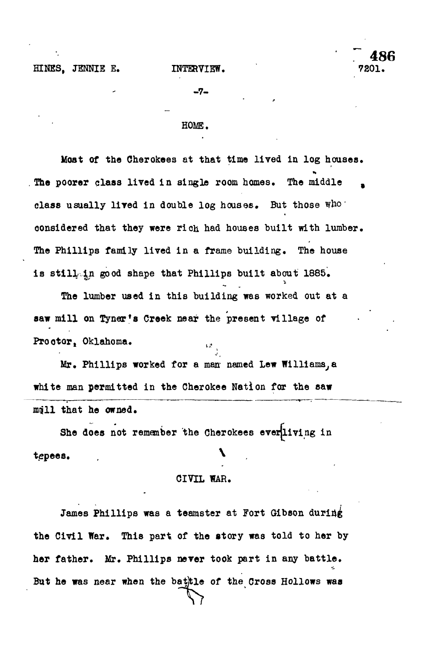**486**<br>7201.

-7-

### HOME.

**Most of the Cherokees at that time lived in log houses. The poorer class lived in single room homes. The middle , class usually lived in double log houses. But those who • oonsidered that they were rich had houses built with lumber. The Phillips family lived in a frame building. The house** is still in good shape that Phillips built about 1885.

**The lumber used in this building was worked out at a** saw mill on Tyner's Creek near the present village of **saw mill on Tynans Creek near the present village of**

**Prootor, Oklahoma. ljt** Mr. Phillips worked for a man named Lew Williams, a white man permitted in the Cherokee Nation for the saw **white man permitted in the Cherokee Nation for the saw**

She does not remember the Cherokees ever*living* in **She does not remember the Cherokees everjliving in** tepees.

**tepes.** ,  $\mathbf{r} = \mathbf{r} \times \mathbf{r}$  ,  $\mathbf{r} = \mathbf{r} \times \mathbf{r}$  ,  $\mathbf{r} = \mathbf{r} \times \mathbf{r}$  ,  $\mathbf{r} = \mathbf{r} \times \mathbf{r}$ 

### **CIVIL WAR.**

**James Phillips was a teamster at Fort Gibson during the Civil War. This part of the story was told to her by her father. Mr. Phillips never took part in any battle.** But he was near when the bathtle of the Cross Hollows was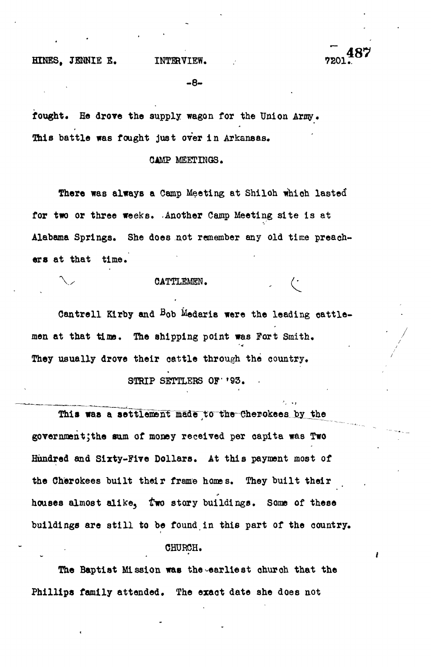HINES. JENNIE E. INTERVIEW.

**-8-**

**fought. He drove the supply wagon for the Union Army. This battle was fought just over in Arkansas.**

**CAMP MEETINGS.**

**There was always a Camp Meeting at Shiloh whioh lasted for two or three weeks. .Another Camp Meeting site is at Alabama Springs. She does not remember any old time preachers at that time.**

**\y CATTLEMEN.**

Cantrell Kirby and Bob Medaris were the leading cattlemen at that time. The shipping point was Fort Smith. They usually drove their cattle through the country.

STRIP SETTLERS OF '93.

This was a settlement made to the Cherokees by the government;the sum of money received per capita was Two Hundred and Sixty-Five Dollars. At this payment most of the Cherokees built their frame homes. They built their houses almost alike, two story buildings. Some of these buildings are still to be found in this part of the country.

#### CHURCH.

**The Baptist Mission was the-earliest church that the Phillips family attended. The exact date she does not**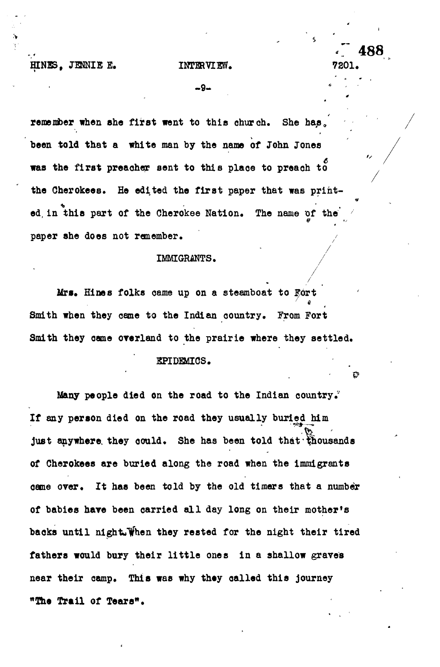**HINES**, JENNIE E. INTERVIEW.

*'7* **488**

**- 9 - \* • • '**

remember when she first went to this church. She has. **been told that a white man by the name of John Jones** 6 **was the first preacher sent to this plaoe to preach to** the Cherokees. He edited the first paper that was printed in this part of the Cherokee Nation. The name of the paper she does not remember.

#### *IMMIGRANTS.*

**IMMIGRANTS. /**

Mrs. Hines folks came up on a steamboat to Fort e Smith when they came to the Indian country. From Fort **Smith when they came to the Indian oountry. From Fort** Smith they came overland to the prairie where they settled.

**Smith they oame overland to the prairie where they settled.**

#### **EPIDEMICS.**

**Many people died on the road to the Indian country.' If any person died on the road they usually buried him** just anywhere they could. She has been told that thousands **of Cherokees are buried along the road when the immigrants oame over. It has been told by the old timers that a number of babies have been carried all day long on their mother's** backs until night. When they rested for the night their tired **fathers would bury their little ones in a shallow graves near their camp. This was why they oalled this journey "The Trail of Tears".**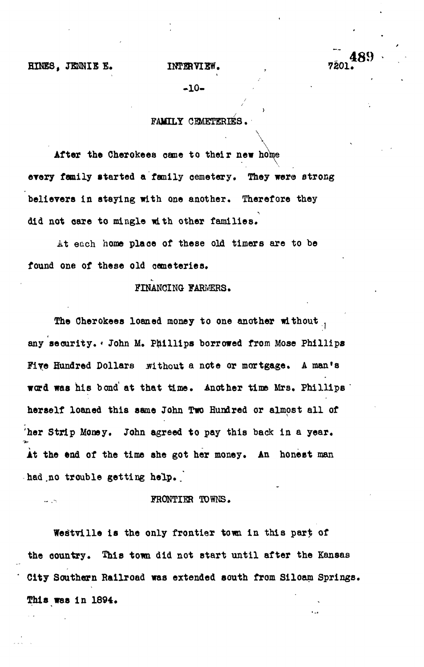**HINES, JENNIE E. INTERVIEW. , 7201.**

**-10 -**

### **/ FAMILY CEMETERIES.**

**/**

**\**

**\ After the Cherokees came to their new home every family started a family cemetery. They were strong believers in staying with one another. Therefore they did not care to mingle with other families,**

**i.t each home place of these old timers are to be found one of these old oemeteries.**

**FINANCING FARMERS.**

**The Cherokees loaned money to one another without , any security. \* John M. Phillips borrowed from Mose Phillips** Five Hundred Dollars without a note or mortgage. A man's **word was his bond at that time. Another time Mrs, Phillips '** herself loaned this same John Two Hundred or almost all of **'her Strip Money. John agreed to pay this back in a year. At the end of the time she got her money. An honest man had.no trouble getting help. .**

 $\ddotsc$ 

#### **FRONTIER TOWNS.**

Westville is the only frontier town in this part of the country. This town did not start until after the Kansas **City Southern Railroad was extended south from Siloam Springs. This was in 1894.**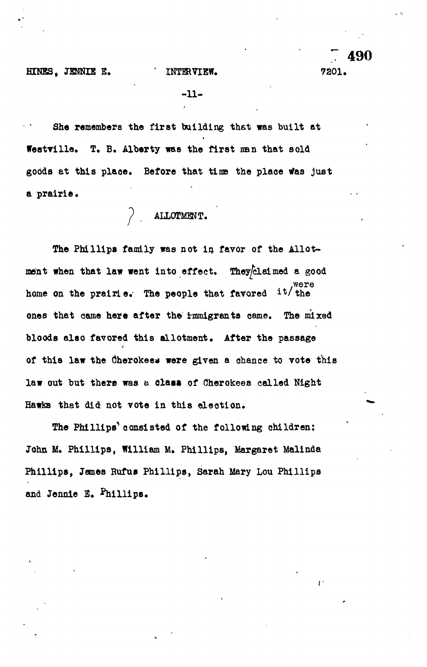**7 490**

γ.

**-11-**

4

**She remembers the first building thst was built at festville. T. B. Alberty was the first nan that sold goods at this plaoe. Before that tins the plaoe Was just** a prairie.

**ALLOTMENT.**

The Phillips family was not in favor of the Allotment when that law went into effect. They<sup>[claimed a good</sup>  $it/the$ home on the prairie. The people that favored ones that came here after the immigrants came. The mixed bloods also favored this allotment. After the passage of this law the Cherokees were given a chance to vote this law out but there was a **clasa** of Cherokee8 called Night Hawks that did not vote in this election.

The Phillips' consisted of the following children: John M. Phillips, William M. Phillips, Margaret Malinda Phillips, Jemes Rufus Phillips, Sarah Mary Lou Phillips and Jennie E. Phillips.